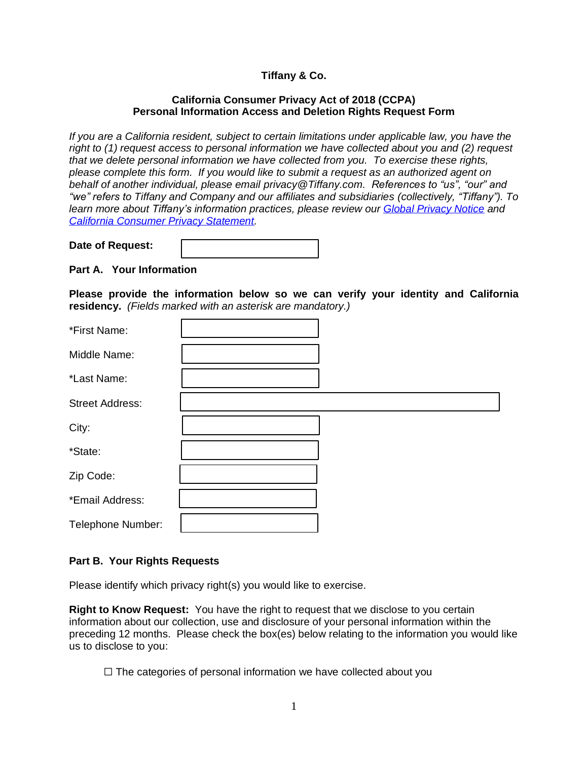# **Tiffany & Co.**

## **California Consumer Privacy Act of 2018 (CCPA) Personal Information Access and Deletion Rights Request Form**

*If you are a California resident, subject to certain limitations under applicable law, you have the right to (1) request access to personal information we have collected about you and (2) request that we delete personal information we have collected from you. To exercise these rights, please complete this form. If you would like to submit a request as an authorized agent on behalf of another individual, please email privacy@Tiffany.com. References to "us", "our" and "we" refers to Tiffany and Company and our affiliates and subsidiaries (collectively, "Tiffany"). To learn more about Tiffany's information practices, please review our [Global Privacy Notice](https://www.tiffany.com/policy/privacy-policy/) and [California Consumer Privacy Statement.](https://www.tiffany.com/policy/california-consumer-privacy/)*

| Date of Request: |  |
|------------------|--|
|                  |  |

**Part A. Your Information**

**Please provide the information below so we can verify your identity and California residency.** *(Fields marked with an asterisk are mandatory.)*

| *First Name:           |  |
|------------------------|--|
| Middle Name:           |  |
| *Last Name:            |  |
| <b>Street Address:</b> |  |
| City:                  |  |
| *State:                |  |
| Zip Code:              |  |
| *Email Address:        |  |
| Telephone Number:      |  |

## **Part B. Your Rights Requests**

Please identify which privacy right(s) you would like to exercise.

**Right to Know Request:** You have the right to request that we disclose to you certain information about our collection, use and disclosure of your personal information within the preceding 12 months. Please check the box(es) below relating to the information you would like us to disclose to you:

 $\Box$  The categories of personal information we have collected about you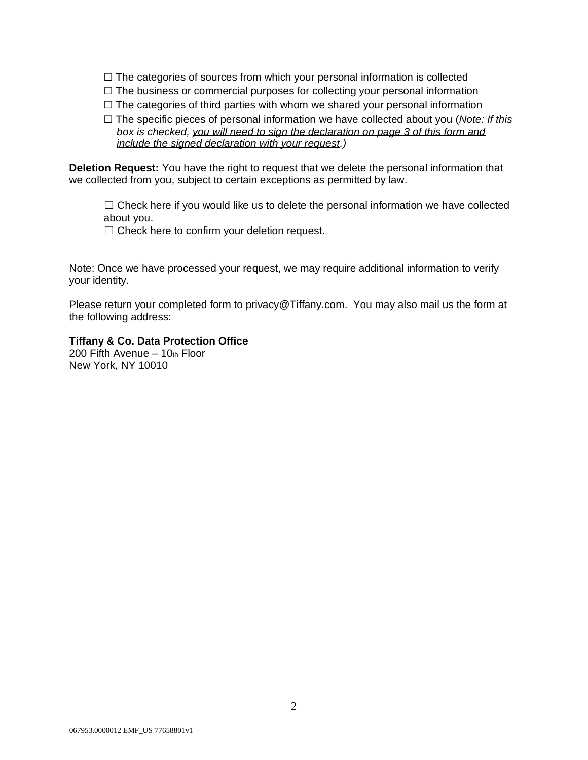- $\Box$  The categories of sources from which your personal information is collected
- ☐ The business or commercial purposes for collecting your personal information
- $\Box$  The categories of third parties with whom we shared your personal information
- ☐ The specific pieces of personal information we have collected about you (*Note: If this box is checked, you will need to sign the declaration on page 3 of this form and include the signed declaration with your request.)*

**Deletion Request:** You have the right to request that we delete the personal information that we collected from you, subject to certain exceptions as permitted by law.

 $\Box$  Check here if you would like us to delete the personal information we have collected about you.

□ Check here to confirm your deletion request.

Note: Once we have processed your request, we may require additional information to verify your identity.

Please return your completed form to privacy@Tiffany.com. You may also mail us the form at the following address:

## **Tiffany & Co. Data Protection Office**

200 Fifth Avenue  $-10$ th Floor New York, NY 10010